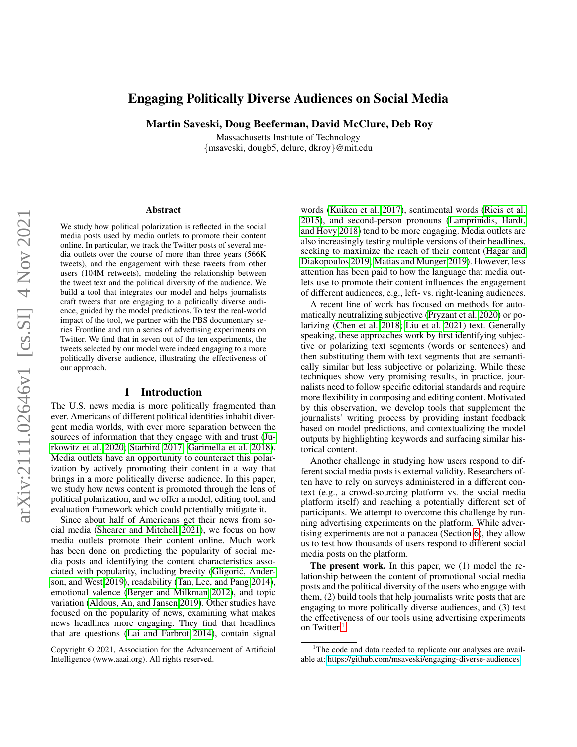# Engaging Politically Diverse Audiences on Social Media

Martin Saveski, Doug Beeferman, David McClure, Deb Roy

Massachusetts Institute of Technology {msaveski, dougb5, dclure, dkroy}@mit.edu

#### Abstract

We study how political polarization is reflected in the social media posts used by media outlets to promote their content online. In particular, we track the Twitter posts of several media outlets over the course of more than three years (566K tweets), and the engagement with these tweets from other users (104M retweets), modeling the relationship between the tweet text and the political diversity of the audience. We build a tool that integrates our model and helps journalists craft tweets that are engaging to a politically diverse audience, guided by the model predictions. To test the real-world impact of the tool, we partner with the PBS documentary series Frontline and run a series of advertising experiments on Twitter. We find that in seven out of the ten experiments, the tweets selected by our model were indeed engaging to a more politically diverse audience, illustrating the effectiveness of our approach.

#### 1 Introduction

The U.S. news media is more politically fragmented than ever. Americans of different political identities inhabit divergent media worlds, with ever more separation between the sources of information that they engage with and trust [\(Ju](#page-11-0)[rkowitz et al. 2020;](#page-11-0) [Starbird 2017;](#page-11-1) [Garimella et al. 2018\)](#page-11-2). Media outlets have an opportunity to counteract this polarization by actively promoting their content in a way that brings in a more politically diverse audience. In this paper, we study how news content is promoted through the lens of political polarization, and we offer a model, editing tool, and evaluation framework which could potentially mitigate it.

Since about half of Americans get their news from social media [\(Shearer and Mitchell 2021\)](#page-11-3), we focus on how media outlets promote their content online. Much work has been done on predicting the popularity of social media posts and identifying the content characteristics associated with popularity, including brevity [\(Gligoric, Ander-](#page-11-4) ´ [son, and West 2019\)](#page-11-4), readability [\(Tan, Lee, and Pang 2014\)](#page-11-5), emotional valence [\(Berger and Milkman 2012\)](#page-10-0), and topic variation [\(Aldous, An, and Jansen 2019\)](#page-10-1). Other studies have focused on the popularity of news, examining what makes news headlines more engaging. They find that headlines that are questions [\(Lai and Farbrot 2014\)](#page-11-6), contain signal

words [\(Kuiken et al. 2017\)](#page-11-7), sentimental words [\(Rieis et al.](#page-11-8) [2015\)](#page-11-8), and second-person pronouns [\(Lamprinidis, Hardt,](#page-11-9) [and Hovy 2018\)](#page-11-9) tend to be more engaging. Media outlets are also increasingly testing multiple versions of their headlines, seeking to maximize the reach of their content [\(Hagar and](#page-11-10) [Diakopoulos 2019;](#page-11-10) [Matias and Munger 2019\)](#page-11-11). However, less attention has been paid to how the language that media outlets use to promote their content influences the engagement of different audiences, e.g., left- vs. right-leaning audiences.

A recent line of work has focused on methods for automatically neutralizing subjective [\(Pryzant et al. 2020\)](#page-11-12) or polarizing [\(Chen et al. 2018;](#page-11-13) [Liu et al. 2021\)](#page-11-14) text. Generally speaking, these approaches work by first identifying subjective or polarizing text segments (words or sentences) and then substituting them with text segments that are semantically similar but less subjective or polarizing. While these techniques show very promising results, in practice, journalists need to follow specific editorial standards and require more flexibility in composing and editing content. Motivated by this observation, we develop tools that supplement the journalists' writing process by providing instant feedback based on model predictions, and contextualizing the model outputs by highlighting keywords and surfacing similar historical content.

Another challenge in studying how users respond to different social media posts is external validity. Researchers often have to rely on surveys administered in a different context (e.g., a crowd-sourcing platform vs. the social media platform itself) and reaching a potentially different set of participants. We attempt to overcome this challenge by running advertising experiments on the platform. While advertising experiments are not a panacea (Section [6\)](#page-7-0), they allow us to test how thousands of users respond to different social media posts on the platform.

The present work. In this paper, we (1) model the relationship between the content of promotional social media posts and the political diversity of the users who engage with them, (2) build tools that help journalists write posts that are engaging to more politically diverse audiences, and (3) test the effectiveness of our tools using advertising experiments on Twitter.<sup>[1](#page-0-0)</sup>

Copyright © 2021, Association for the Advancement of Artificial Intelligence (www.aaai.org). All rights reserved.

<span id="page-0-0"></span><sup>&</sup>lt;sup>1</sup>The code and data needed to replicate our analyses are available at:<https://github.com/msaveski/engaging-diverse-audiences>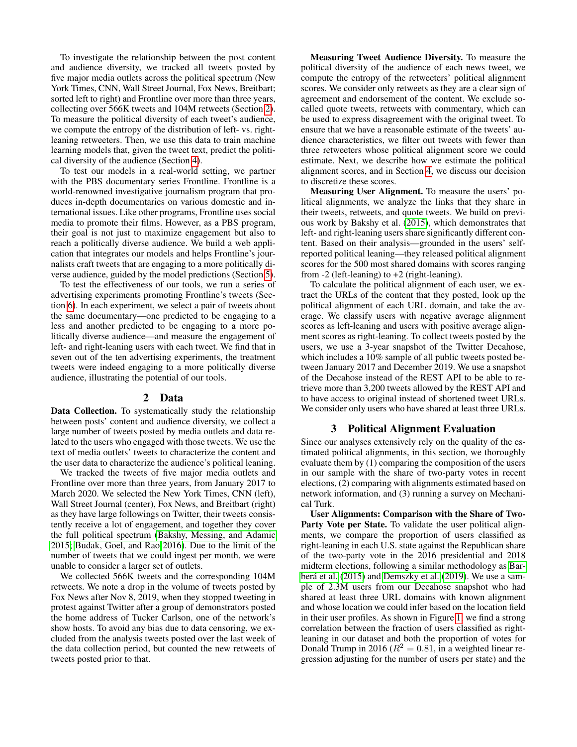To investigate the relationship between the post content and audience diversity, we tracked all tweets posted by five major media outlets across the political spectrum (New York Times, CNN, Wall Street Journal, Fox News, Breitbart; sorted left to right) and Frontline over more than three years, collecting over 566K tweets and 104M retweets (Section [2\)](#page-1-0). To measure the political diversity of each tweet's audience, we compute the entropy of the distribution of left- vs. rightleaning retweeters. Then, we use this data to train machine learning models that, given the tweet text, predict the political diversity of the audience (Section [4\)](#page-2-0).

To test our models in a real-world setting, we partner with the PBS documentary series Frontline. Frontline is a world-renowned investigative journalism program that produces in-depth documentaries on various domestic and international issues. Like other programs, Frontline uses social media to promote their films. However, as a PBS program, their goal is not just to maximize engagement but also to reach a politically diverse audience. We build a web application that integrates our models and helps Frontline's journalists craft tweets that are engaging to a more politically diverse audience, guided by the model predictions (Section [5\)](#page-6-0).

To test the effectiveness of our tools, we run a series of advertising experiments promoting Frontline's tweets (Section [6\)](#page-7-0). In each experiment, we select a pair of tweets about the same documentary—one predicted to be engaging to a less and another predicted to be engaging to a more politically diverse audience—and measure the engagement of left- and right-leaning users with each tweet. We find that in seven out of the ten advertising experiments, the treatment tweets were indeed engaging to a more politically diverse audience, illustrating the potential of our tools.

#### 2 Data

<span id="page-1-0"></span>Data Collection. To systematically study the relationship between posts' content and audience diversity, we collect a large number of tweets posted by media outlets and data related to the users who engaged with those tweets. We use the text of media outlets' tweets to characterize the content and the user data to characterize the audience's political leaning.

We tracked the tweets of five major media outlets and Frontline over more than three years, from January 2017 to March 2020. We selected the New York Times, CNN (left), Wall Street Journal (center), Fox News, and Breitbart (right) as they have large followings on Twitter, their tweets consistently receive a lot of engagement, and together they cover the full political spectrum [\(Bakshy, Messing, and Adamic](#page-10-2) [2015;](#page-10-2) [Budak, Goel, and Rao 2016\)](#page-11-15). Due to the limit of the number of tweets that we could ingest per month, we were unable to consider a larger set of outlets.

We collected 566K tweets and the corresponding 104M retweets. We note a drop in the volume of tweets posted by Fox News after Nov 8, 2019, when they stopped tweeting in protest against Twitter after a group of demonstrators posted the home address of Tucker Carlson, one of the network's show hosts. To avoid any bias due to data censoring, we excluded from the analysis tweets posted over the last week of the data collection period, but counted the new retweets of tweets posted prior to that.

Measuring Tweet Audience Diversity. To measure the political diversity of the audience of each news tweet, we compute the entropy of the retweeters' political alignment scores. We consider only retweets as they are a clear sign of agreement and endorsement of the content. We exclude socalled quote tweets, retweets with commentary, which can be used to express disagreement with the original tweet. To ensure that we have a reasonable estimate of the tweets' audience characteristics, we filter out tweets with fewer than three retweeters whose political alignment score we could estimate. Next, we describe how we estimate the political alignment scores, and in Section [4,](#page-2-0) we discuss our decision to discretize these scores.

Measuring User Alignment. To measure the users' political alignments, we analyze the links that they share in their tweets, retweets, and quote tweets. We build on previous work by Bakshy et al. [\(2015\)](#page-10-2), which demonstrates that left- and right-leaning users share significantly different content. Based on their analysis—grounded in the users' selfreported political leaning—they released political alignment scores for the 500 most shared domains with scores ranging from -2 (left-leaning) to +2 (right-leaning).

To calculate the political alignment of each user, we extract the URLs of the content that they posted, look up the political alignment of each URL domain, and take the average. We classify users with negative average alignment scores as left-leaning and users with positive average alignment scores as right-leaning. To collect tweets posted by the users, we use a 3-year snapshot of the Twitter Decahose, which includes a 10% sample of all public tweets posted between January 2017 and December 2019. We use a snapshot of the Decahose instead of the REST API to be able to retrieve more than 3,200 tweets allowed by the REST API and to have access to original instead of shortened tweet URLs. We consider only users who have shared at least three URLs.

### 3 Political Alignment Evaluation

Since our analyses extensively rely on the quality of the estimated political alignments, in this section, we thoroughly evaluate them by (1) comparing the composition of the users in our sample with the share of two-party votes in recent elections, (2) comparing with alignments estimated based on network information, and (3) running a survey on Mechanical Turk.

User Alignments: Comparison with the Share of Two-Party Vote per State. To validate the user political alignments, we compare the proportion of users classified as right-leaning in each U.S. state against the Republican share of the two-party vote in the 2016 presidential and 2018 midterm elections, following a similar methodology as [Bar-](#page-10-3)berá et al. [\(2015\)](#page-10-3) and [Demszky et al.](#page-11-16) [\(2019\)](#page-11-16). We use a sample of 2.3M users from our Decahose snapshot who had shared at least three URL domains with known alignment and whose location we could infer based on the location field in their user profiles. As shown in Figure [1,](#page-2-1) we find a strong correlation between the fraction of users classified as rightleaning in our dataset and both the proportion of votes for Donald Trump in 2016 ( $R^2 = 0.81$ , in a weighted linear regression adjusting for the number of users per state) and the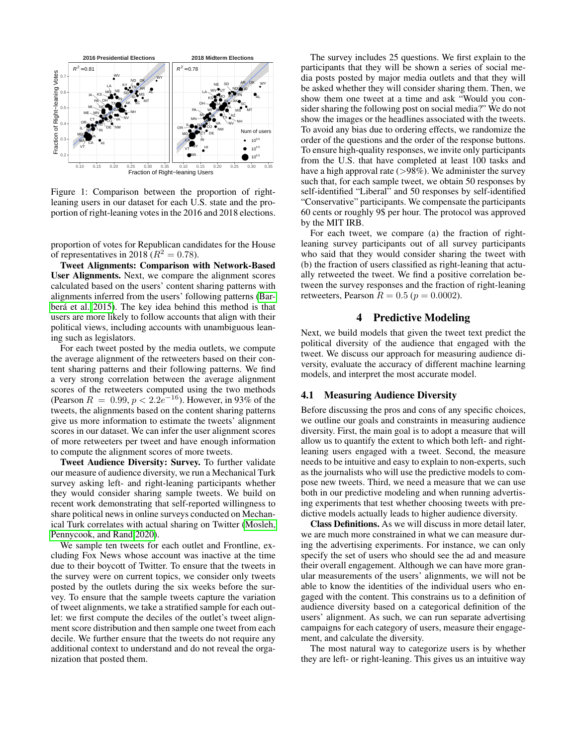<span id="page-2-1"></span>

Figure 1: Comparison between the proportion of rightleaning users in our dataset for each U.S. state and the proportion of right-leaning votes in the 2016 and 2018 elections.

proportion of votes for Republican candidates for the House of representatives in 2018 ( $R^2 = 0.78$ ).

Tweet Alignments: Comparison with Network-Based User Alignments. Next, we compare the alignment scores calculated based on the users' content sharing patterns with alignments inferred from the users' following patterns [\(Bar](#page-10-3)berá et al. 2015). The key idea behind this method is that users are more likely to follow accounts that align with their political views, including accounts with unambiguous leaning such as legislators.

For each tweet posted by the media outlets, we compute the average alignment of the retweeters based on their content sharing patterns and their following patterns. We find a very strong correlation between the average alignment scores of the retweeters computed using the two methods (Pearson  $R = 0.99, p < 2.2e^{-16}$ ). However, in 93% of the tweets, the alignments based on the content sharing patterns give us more information to estimate the tweets' alignment scores in our dataset. We can infer the user alignment scores of more retweeters per tweet and have enough information to compute the alignment scores of more tweets.

Tweet Audience Diversity: Survey. To further validate our measure of audience diversity, we run a Mechanical Turk survey asking left- and right-leaning participants whether they would consider sharing sample tweets. We build on recent work demonstrating that self-reported willingness to share political news in online surveys conducted on Mechanical Turk correlates with actual sharing on Twitter [\(Mosleh,](#page-11-17) [Pennycook, and Rand 2020\)](#page-11-17).

We sample ten tweets for each outlet and Frontline, excluding Fox News whose account was inactive at the time due to their boycott of Twitter. To ensure that the tweets in the survey were on current topics, we consider only tweets posted by the outlets during the six weeks before the survey. To ensure that the sample tweets capture the variation of tweet alignments, we take a stratified sample for each outlet: we first compute the deciles of the outlet's tweet alignment score distribution and then sample one tweet from each decile. We further ensure that the tweets do not require any additional context to understand and do not reveal the organization that posted them.

The survey includes 25 questions. We first explain to the participants that they will be shown a series of social media posts posted by major media outlets and that they will be asked whether they will consider sharing them. Then, we show them one tweet at a time and ask "Would you consider sharing the following post on social media?" We do not show the images or the headlines associated with the tweets. To avoid any bias due to ordering effects, we randomize the order of the questions and the order of the response buttons. To ensure high-quality responses, we invite only participants from the U.S. that have completed at least 100 tasks and have a high approval rate  $(>\!\!98\%)$ . We administer the survey such that, for each sample tweet, we obtain 50 responses by self-identified "Liberal" and 50 responses by self-identified "Conservative" participants. We compensate the participants 60 cents or roughly 9\$ per hour. The protocol was approved by the MIT IRB.

For each tweet, we compare (a) the fraction of rightleaning survey participants out of all survey participants who said that they would consider sharing the tweet with (b) the fraction of users classified as right-leaning that actually retweeted the tweet. We find a positive correlation between the survey responses and the fraction of right-leaning retweeters, Pearson  $R = 0.5$  ( $p = 0.0002$ ).

## 4 Predictive Modeling

<span id="page-2-0"></span>Next, we build models that given the tweet text predict the political diversity of the audience that engaged with the tweet. We discuss our approach for measuring audience diversity, evaluate the accuracy of different machine learning models, and interpret the most accurate model.

#### <span id="page-2-2"></span>4.1 Measuring Audience Diversity

Before discussing the pros and cons of any specific choices, we outline our goals and constraints in measuring audience diversity. First, the main goal is to adopt a measure that will allow us to quantify the extent to which both left- and rightleaning users engaged with a tweet. Second, the measure needs to be intuitive and easy to explain to non-experts, such as the journalists who will use the predictive models to compose new tweets. Third, we need a measure that we can use both in our predictive modeling and when running advertising experiments that test whether choosing tweets with predictive models actually leads to higher audience diversity.

Class Definitions. As we will discuss in more detail later, we are much more constrained in what we can measure during the advertising experiments. For instance, we can only specify the set of users who should see the ad and measure their overall engagement. Although we can have more granular measurements of the users' alignments, we will not be able to know the identities of the individual users who engaged with the content. This constrains us to a definition of audience diversity based on a categorical definition of the users' alignment. As such, we can run separate advertising campaigns for each category of users, measure their engagement, and calculate the diversity.

The most natural way to categorize users is by whether they are left- or right-leaning. This gives us an intuitive way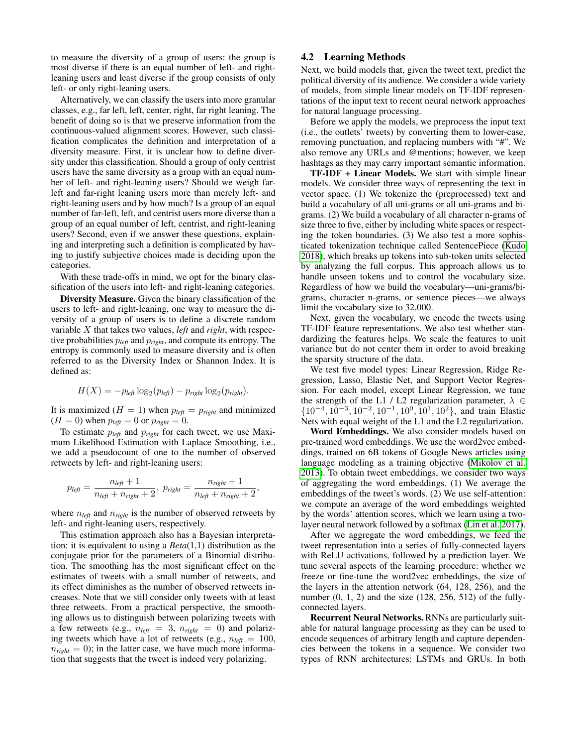to measure the diversity of a group of users: the group is most diverse if there is an equal number of left- and rightleaning users and least diverse if the group consists of only left- or only right-leaning users.

Alternatively, we can classify the users into more granular classes, e.g., far left, left, center, right, far right leaning. The benefit of doing so is that we preserve information from the continuous-valued alignment scores. However, such classification complicates the definition and interpretation of a diversity measure. First, it is unclear how to define diversity under this classification. Should a group of only centrist users have the same diversity as a group with an equal number of left- and right-leaning users? Should we weigh farleft and far-right leaning users more than merely left- and right-leaning users and by how much? Is a group of an equal number of far-left, left, and centrist users more diverse than a group of an equal number of left, centrist, and right-leaning users? Second, even if we answer these questions, explaining and interpreting such a definition is complicated by having to justify subjective choices made is deciding upon the categories.

With these trade-offs in mind, we opt for the binary classification of the users into left- and right-leaning categories.

Diversity Measure. Given the binary classification of the users to left- and right-leaning, one way to measure the diversity of a group of users is to define a discrete random variable X that takes two values, *left* and *right*, with respective probabilities p*left* and p*right*, and compute its entropy. The entropy is commonly used to measure diversity and is often referred to as the Diversity Index or Shannon Index. It is defined as:

$$
H(X) = -p_{\text{left}} \log_2(p_{\text{left}}) - p_{\text{right}} \log_2(p_{\text{right}}).
$$

It is maximized ( $H = 1$ ) when  $p_{\text{left}} = p_{\text{right}}$  and minimized  $(H = 0)$  when  $p_{\text{left}} = 0$  or  $p_{\text{right}} = 0$ .

To estimate p*left* and p*right* for each tweet, we use Maximum Likelihood Estimation with Laplace Smoothing, i.e., we add a pseudocount of one to the number of observed retweets by left- and right-leaning users:

$$
p_{\text{left}} = \frac{n_{\text{left}} + 1}{n_{\text{left}} + n_{\text{right}} + 2}, \ p_{\text{right}} = \frac{n_{\text{right}} + 1}{n_{\text{left}} + n_{\text{right}} + 2},
$$

where  $n_{left}$  and  $n_{right}$  is the number of observed retweets by left- and right-leaning users, respectively.

This estimation approach also has a Bayesian interpretation: it is equivalent to using a *Beta*(1,1) distribution as the conjugate prior for the parameters of a Binomial distribution. The smoothing has the most significant effect on the estimates of tweets with a small number of retweets, and its effect diminishes as the number of observed retweets increases. Note that we still consider only tweets with at least three retweets. From a practical perspective, the smoothing allows us to distinguish between polarizing tweets with a few retweets (e.g.,  $n_{left} = 3$ ,  $n_{right} = 0$ ) and polarizing tweets which have a lot of retweets (e.g.,  $n_{left} = 100$ ,  $n_{right} = 0$ ; in the latter case, we have much more information that suggests that the tweet is indeed very polarizing.

### 4.2 Learning Methods

Next, we build models that, given the tweet text, predict the political diversity of its audience. We consider a wide variety of models, from simple linear models on TF-IDF representations of the input text to recent neural network approaches for natural language processing.

Before we apply the models, we preprocess the input text (i.e., the outlets' tweets) by converting them to lower-case, removing punctuation, and replacing numbers with "#". We also remove any URLs and @mentions; however, we keep hashtags as they may carry important semantic information.

TF-IDF + Linear Models. We start with simple linear models. We consider three ways of representing the text in vector space. (1) We tokenize the (preprocessed) text and build a vocabulary of all uni-grams or all uni-grams and bigrams. (2) We build a vocabulary of all character n-grams of size three to five, either by including white spaces or respecting the token boundaries. (3) We also test a more sophisticated tokenization technique called SentencePiece [\(Kudo](#page-11-18) [2018\)](#page-11-18), which breaks up tokens into sub-token units selected by analyzing the full corpus. This approach allows us to handle unseen tokens and to control the vocabulary size. Regardless of how we build the vocabulary—uni-grams/bigrams, character n-grams, or sentence pieces—we always limit the vocabulary size to 32,000.

Next, given the vocabulary, we encode the tweets using TF-IDF feature representations. We also test whether standardizing the features helps. We scale the features to unit variance but do not center them in order to avoid breaking the sparsity structure of the data.

We test five model types: Linear Regression, Ridge Regression, Lasso, Elastic Net, and Support Vector Regression. For each model, except Linear Regression, we tune the strength of the L1 / L2 regularization parameter,  $\lambda \in$  $\{10^{-4}, 10^{-3}, 10^{-2}, 10^{-1}, 10^{0}, 10^{1}, 10^{2}\}$ , and train Elastic Nets with equal weight of the L1 and the L2 regularization.

Word Embeddings. We also consider models based on pre-trained word embeddings. We use the word2vec embeddings, trained on 6B tokens of Google News articles using language modeling as a training objective [\(Mikolov et al.](#page-11-19) [2013\)](#page-11-19). To obtain tweet embeddings, we consider two ways of aggregating the word embeddings. (1) We average the embeddings of the tweet's words. (2) We use self-attention: we compute an average of the word embeddings weighted by the words' attention scores, which we learn using a twolayer neural network followed by a softmax [\(Lin et al. 2017\)](#page-11-20).

After we aggregate the word embeddings, we feed the tweet representation into a series of fully-connected layers with ReLU activations, followed by a prediction layer. We tune several aspects of the learning procedure: whether we freeze or fine-tune the word2vec embeddings, the size of the layers in the attention network (64, 128, 256), and the number (0, 1, 2) and the size (128, 256, 512) of the fullyconnected layers.

Recurrent Neural Networks. RNNs are particularly suitable for natural language processing as they can be used to encode sequences of arbitrary length and capture dependencies between the tokens in a sequence. We consider two types of RNN architectures: LSTMs and GRUs. In both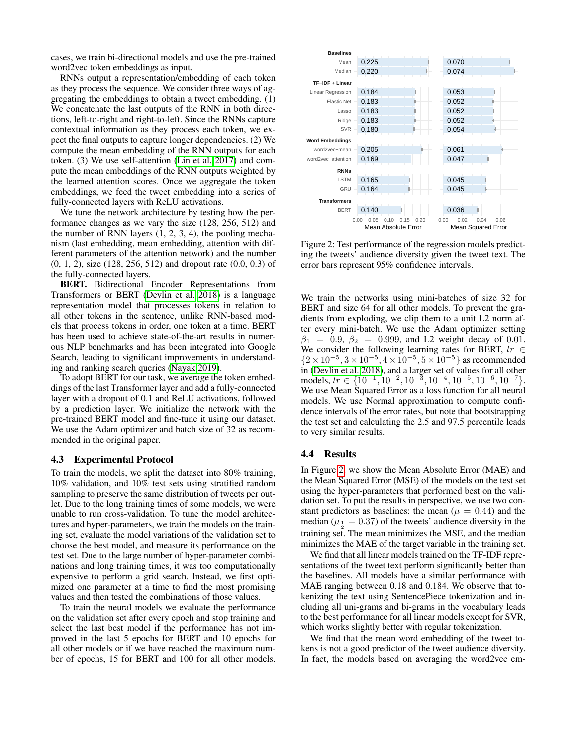cases, we train bi-directional models and use the pre-trained word2vec token embeddings as input.

RNNs output a representation/embedding of each token as they process the sequence. We consider three ways of aggregating the embeddings to obtain a tweet embedding. (1) We concatenate the last outputs of the RNN in both directions, left-to-right and right-to-left. Since the RNNs capture contextual information as they process each token, we expect the final outputs to capture longer dependencies. (2) We compute the mean embedding of the RNN outputs for each token. (3) We use self-attention [\(Lin et al. 2017\)](#page-11-20) and compute the mean embeddings of the RNN outputs weighted by the learned attention scores. Once we aggregate the token embeddings, we feed the tweet embedding into a series of fully-connected layers with ReLU activations.

We tune the network architecture by testing how the performance changes as we vary the size (128, 256, 512) and the number of RNN layers (1, 2, 3, 4), the pooling mechanism (last embedding, mean embedding, attention with different parameters of the attention network) and the number (0, 1, 2), size (128, 256, 512) and dropout rate (0.0, 0.3) of the fully-connected layers.

BERT. Bidirectional Encoder Representations from Transformers or BERT [\(Devlin et al. 2018\)](#page-11-21) is a language representation model that processes tokens in relation to all other tokens in the sentence, unlike RNN-based models that process tokens in order, one token at a time. BERT has been used to achieve state-of-the-art results in numerous NLP benchmarks and has been integrated into Google Search, leading to significant improvements in understanding and ranking search queries [\(Nayak 2019\)](#page-11-22).

To adopt BERT for our task, we average the token embeddings of the last Transformer layer and add a fully-connected layer with a dropout of 0.1 and ReLU activations, followed by a prediction layer. We initialize the network with the pre-trained BERT model and fine-tune it using our dataset. We use the Adam optimizer and batch size of 32 as recommended in the original paper.

#### 4.3 Experimental Protocol

To train the models, we split the dataset into 80% training, 10% validation, and 10% test sets using stratified random sampling to preserve the same distribution of tweets per outlet. Due to the long training times of some models, we were unable to run cross-validation. To tune the model architectures and hyper-parameters, we train the models on the training set, evaluate the model variations of the validation set to choose the best model, and measure its performance on the test set. Due to the large number of hyper-parameter combinations and long training times, it was too computationally expensive to perform a grid search. Instead, we first optimized one parameter at a time to find the most promising values and then tested the combinations of those values.

To train the neural models we evaluate the performance on the validation set after every epoch and stop training and select the last best model if the performance has not improved in the last 5 epochs for BERT and 10 epochs for all other models or if we have reached the maximum number of epochs, 15 for BERT and 100 for all other models.

<span id="page-4-0"></span>

Figure 2: Test performance of the regression models predicting the tweets' audience diversity given the tweet text. The error bars represent 95% confidence intervals.

We train the networks using mini-batches of size 32 for BERT and size 64 for all other models. To prevent the gradients from exploding, we clip them to a unit L2 norm after every mini-batch. We use the Adam optimizer setting  $\beta_1 = 0.9, \beta_2 = 0.999$ , and L2 weight decay of 0.01. We consider the following learning rates for BERT,  $lr \in$  ${2 \times 10^{-5}, 3 \times 10^{-5}, 4 \times 10^{-5}, 5 \times 10^{-5}}$  as recommended in [\(Devlin et al. 2018\)](#page-11-21), and a larger set of values for all other models,  $lr \in \{10^{-1}, 10^{-2}, 10^{-3}, 10^{-4}, 10^{-5}, 10^{-6}, 10^{-7}\}.$ We use Mean Squared Error as a loss function for all neural models. We use Normal approximation to compute confidence intervals of the error rates, but note that bootstrapping the test set and calculating the 2.5 and 97.5 percentile leads to very similar results.

#### 4.4 Results

In Figure [2,](#page-4-0) we show the Mean Absolute Error (MAE) and the Mean Squared Error (MSE) of the models on the test set using the hyper-parameters that performed best on the validation set. To put the results in perspective, we use two constant predictors as baselines: the mean ( $\mu = 0.44$ ) and the median ( $\mu_{\frac{1}{6}} = 0.37$ ) of the tweets' audience diversity in the training set. The mean minimizes the MSE, and the median minimizes the MAE of the target variable in the training set.

We find that all linear models trained on the TF-IDF representations of the tweet text perform significantly better than the baselines. All models have a similar performance with MAE ranging between 0.18 and 0.184. We observe that tokenizing the text using SentencePiece tokenization and including all uni-grams and bi-grams in the vocabulary leads to the best performance for all linear models except for SVR, which works slightly better with regular tokenization.

We find that the mean word embedding of the tweet tokens is not a good predictor of the tweet audience diversity. In fact, the models based on averaging the word2vec em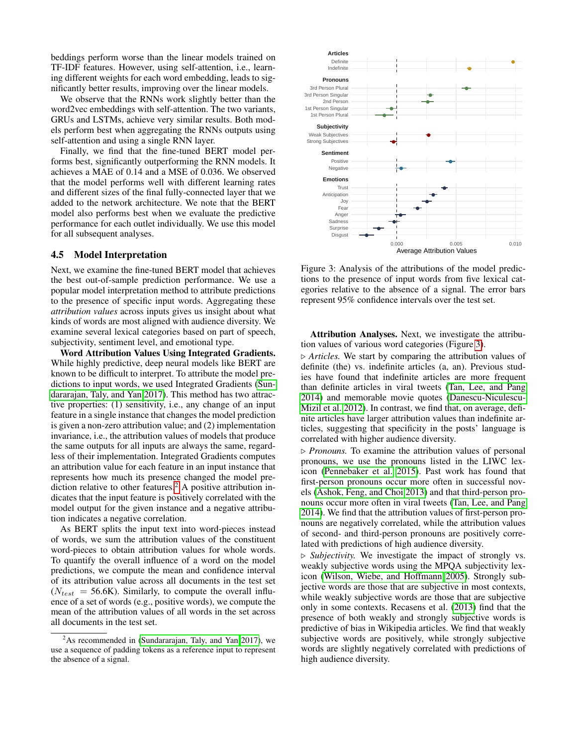beddings perform worse than the linear models trained on TF-IDF features. However, using self-attention, i.e., learning different weights for each word embedding, leads to significantly better results, improving over the linear models.

We observe that the RNNs work slightly better than the word2vec embeddings with self-attention. The two variants, GRUs and LSTMs, achieve very similar results. Both models perform best when aggregating the RNNs outputs using self-attention and using a single RNN layer.

Finally, we find that the fine-tuned BERT model performs best, significantly outperforming the RNN models. It achieves a MAE of 0.14 and a MSE of 0.036. We observed that the model performs well with different learning rates and different sizes of the final fully-connected layer that we added to the network architecture. We note that the BERT model also performs best when we evaluate the predictive performance for each outlet individually. We use this model for all subsequent analyses.

### <span id="page-5-2"></span>4.5 Model Interpretation

Next, we examine the fine-tuned BERT model that achieves the best out-of-sample prediction performance. We use a popular model interpretation method to attribute predictions to the presence of specific input words. Aggregating these *attribution values* across inputs gives us insight about what kinds of words are most aligned with audience diversity. We examine several lexical categories based on part of speech, subjectivity, sentiment level, and emotional type.

Word Attribution Values Using Integrated Gradients. While highly predictive, deep neural models like BERT are known to be difficult to interpret. To attribute the model predictions to input words, we used Integrated Gradients [\(Sun](#page-11-23)[dararajan, Taly, and Yan 2017\)](#page-11-23). This method has two attractive properties: (1) sensitivity, i.e., any change of an input feature in a single instance that changes the model prediction is given a non-zero attribution value; and (2) implementation invariance, i.e., the attribution values of models that produce the same outputs for all inputs are always the same, regardless of their implementation. Integrated Gradients computes an attribution value for each feature in an input instance that represents how much its presence changed the model pre-diction relative to other features.<sup>[2](#page-5-0)</sup> A positive attribution indicates that the input feature is positively correlated with the model output for the given instance and a negative attribution indicates a negative correlation.

As BERT splits the input text into word-pieces instead of words, we sum the attribution values of the constituent word-pieces to obtain attribution values for whole words. To quantify the overall influence of a word on the model predictions, we compute the mean and confidence interval of its attribution value across all documents in the test set  $(N_{test} = 56.6K)$ . Similarly, to compute the overall influence of a set of words (e.g., positive words), we compute the mean of the attribution values of all words in the set across all documents in the test set.

<span id="page-5-1"></span>

Figure 3: Analysis of the attributions of the model predictions to the presence of input words from five lexical categories relative to the absence of a signal. The error bars represent 95% confidence intervals over the test set.

Attribution Analyses. Next, we investigate the attribution values of various word categories (Figure [3\)](#page-5-1).

 $\triangleright$  *Articles.* We start by comparing the attribution values of definite (the) vs. indefinite articles (a, an). Previous studies have found that indefinite articles are more frequent than definite articles in viral tweets [\(Tan, Lee, and Pang](#page-11-5) [2014\)](#page-11-5) and memorable movie quotes [\(Danescu-Niculescu-](#page-11-24)[Mizil et al. 2012\)](#page-11-24). In contrast, we find that, on average, definite articles have larger attribution values than indefinite articles, suggesting that specificity in the posts' language is correlated with higher audience diversity.

 $\triangleright$  *Pronouns.* To examine the attribution values of personal pronouns, we use the pronouns listed in the LIWC lexicon [\(Pennebaker et al. 2015\)](#page-11-25). Past work has found that first-person pronouns occur more often in successful novels [\(Ashok, Feng, and Choi 2013\)](#page-10-4) and that third-person pronouns occur more often in viral tweets [\(Tan, Lee, and Pang](#page-11-5) [2014\)](#page-11-5). We find that the attribution values of first-person pronouns are negatively correlated, while the attribution values of second- and third-person pronouns are positively correlated with predictions of high audience diversity.

. *Subjectivity.* We investigate the impact of strongly vs. weakly subjective words using the MPQA subjectivity lexicon [\(Wilson, Wiebe, and Hoffmann 2005\)](#page-11-26). Strongly subjective words are those that are subjective in most contexts, while weakly subjective words are those that are subjective only in some contexts. Recasens et al. [\(2013\)](#page-11-27) find that the presence of both weakly and strongly subjective words is predictive of bias in Wikipedia articles. We find that weakly subjective words are positively, while strongly subjective words are slightly negatively correlated with predictions of high audience diversity.

<span id="page-5-0"></span> $^{2}$ As recommended in [\(Sundararajan, Taly, and Yan 2017\)](#page-11-23), we use a sequence of padding tokens as a reference input to represent the absence of a signal.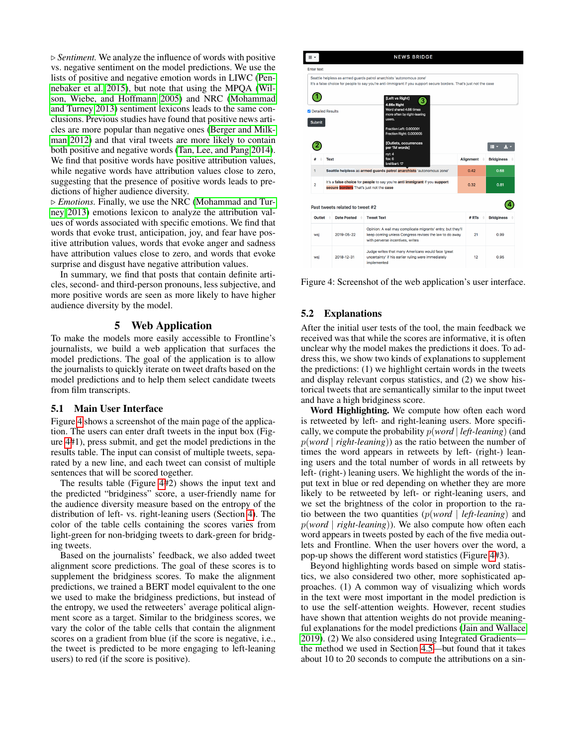$\triangleright$  *Sentiment.* We analyze the influence of words with positive vs. negative sentiment on the model predictions. We use the lists of positive and negative emotion words in LIWC [\(Pen](#page-11-25)[nebaker et al. 2015\)](#page-11-25), but note that using the MPQA [\(Wil](#page-11-26)[son, Wiebe, and Hoffmann 2005\)](#page-11-26) and NRC [\(Mohammad](#page-11-28) [and Turney 2013\)](#page-11-28) sentiment lexicons leads to the same conclusions. Previous studies have found that positive news articles are more popular than negative ones [\(Berger and Milk](#page-10-0)[man 2012\)](#page-10-0) and that viral tweets are more likely to contain both positive and negative words [\(Tan, Lee, and Pang 2014\)](#page-11-5). We find that positive words have positive attribution values, while negative words have attribution values close to zero, suggesting that the presence of positive words leads to predictions of higher audience diversity.

. *Emotions.* Finally, we use the NRC [\(Mohammad and Tur](#page-11-28)[ney 2013\)](#page-11-28) emotions lexicon to analyze the attribution values of words associated with specific emotions. We find that words that evoke trust, anticipation, joy, and fear have positive attribution values, words that evoke anger and sadness have attribution values close to zero, and words that evoke surprise and disgust have negative attribution values.

In summary, we find that posts that contain definite articles, second- and third-person pronouns, less subjective, and more positive words are seen as more likely to have higher audience diversity by the model.

## 5 Web Application

<span id="page-6-0"></span>To make the models more easily accessible to Frontline's journalists, we build a web application that surfaces the model predictions. The goal of the application is to allow the journalists to quickly iterate on tweet drafts based on the model predictions and to help them select candidate tweets from film transcripts.

### 5.1 Main User Interface

Figure [4](#page-6-1) shows a screenshot of the main page of the application. The users can enter draft tweets in the input box (Figure [4#](#page-6-1)1), press submit, and get the model predictions in the results table. The input can consist of multiple tweets, separated by a new line, and each tweet can consist of multiple sentences that will be scored together.

The results table (Figure [4#](#page-6-1)2) shows the input text and the predicted "bridginess" score, a user-friendly name for the audience diversity measure based on the entropy of the distribution of left- vs. right-leaning users (Section [4\)](#page-2-0). The color of the table cells containing the scores varies from light-green for non-bridging tweets to dark-green for bridging tweets.

Based on the journalists' feedback, we also added tweet alignment score predictions. The goal of these scores is to supplement the bridginess scores. To make the alignment predictions, we trained a BERT model equivalent to the one we used to make the bridginess predictions, but instead of the entropy, we used the retweeters' average political alignment score as a target. Similar to the bridginess scores, we vary the color of the table cells that contain the alignment scores on a gradient from blue (if the score is negative, i.e., the tweet is predicted to be more engaging to left-leaning users) to red (if the score is positive).

<span id="page-6-1"></span>

Figure 4: Screenshot of the web application's user interface.

### 5.2 Explanations

After the initial user tests of the tool, the main feedback we received was that while the scores are informative, it is often unclear why the model makes the predictions it does. To address this, we show two kinds of explanations to supplement the predictions: (1) we highlight certain words in the tweets and display relevant corpus statistics, and (2) we show historical tweets that are semantically similar to the input tweet and have a high bridginess score.

Word Highlighting. We compute how often each word is retweeted by left- and right-leaning users. More specifically, we compute the probability p(*word* | *left-leaning*) (and p(*word* | *right-leaning*)) as the ratio between the number of times the word appears in retweets by left- (right-) leaning users and the total number of words in all retweets by left- (right-) leaning users. We highlight the words of the input text in blue or red depending on whether they are more likely to be retweeted by left- or right-leaning users, and we set the brightness of the color in proportion to the ratio between the two quantities (p(*word* | *left-leaning*) and p(*word* | *right-leaning*)). We also compute how often each word appears in tweets posted by each of the five media outlets and Frontline. When the user hovers over the word, a pop-up shows the different word statistics (Figure [4#](#page-6-1)3).

Beyond highlighting words based on simple word statistics, we also considered two other, more sophisticated approaches. (1) A common way of visualizing which words in the text were most important in the model prediction is to use the self-attention weights. However, recent studies have shown that attention weights do not provide meaningful explanations for the model predictions [\(Jain and Wallace](#page-11-29) [2019\)](#page-11-29). (2) We also considered using Integrated Gradients the method we used in Section [4.5—](#page-5-2)but found that it takes about 10 to 20 seconds to compute the attributions on a sin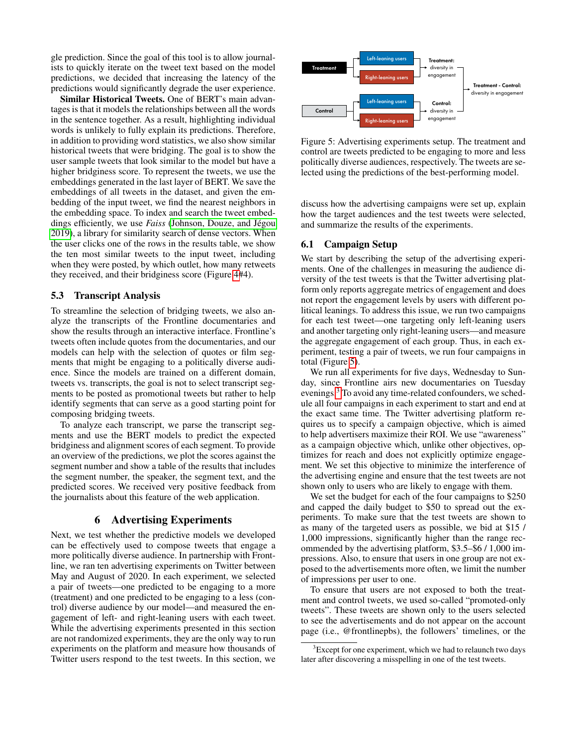gle prediction. Since the goal of this tool is to allow journalists to quickly iterate on the tweet text based on the model predictions, we decided that increasing the latency of the predictions would significantly degrade the user experience.

Similar Historical Tweets. One of BERT's main advantages is that it models the relationships between all the words in the sentence together. As a result, highlighting individual words is unlikely to fully explain its predictions. Therefore, in addition to providing word statistics, we also show similar historical tweets that were bridging. The goal is to show the user sample tweets that look similar to the model but have a higher bridginess score. To represent the tweets, we use the embeddings generated in the last layer of BERT. We save the embeddings of all tweets in the dataset, and given the embedding of the input tweet, we find the nearest neighbors in the embedding space. To index and search the tweet embeddings efficiently, we use *Faiss* (Johnson, Douze, and Jégou [2019\)](#page-11-30), a library for similarity search of dense vectors. When the user clicks one of the rows in the results table, we show the ten most similar tweets to the input tweet, including when they were posted, by which outlet, how many retweets they received, and their bridginess score (Figure [4#](#page-6-1)4).

# 5.3 Transcript Analysis

To streamline the selection of bridging tweets, we also analyze the transcripts of the Frontline documentaries and show the results through an interactive interface. Frontline's tweets often include quotes from the documentaries, and our models can help with the selection of quotes or film segments that might be engaging to a politically diverse audience. Since the models are trained on a different domain, tweets vs. transcripts, the goal is not to select transcript segments to be posted as promotional tweets but rather to help identify segments that can serve as a good starting point for composing bridging tweets.

To analyze each transcript, we parse the transcript segments and use the BERT models to predict the expected bridginess and alignment scores of each segment. To provide an overview of the predictions, we plot the scores against the segment number and show a table of the results that includes the segment number, the speaker, the segment text, and the predicted scores. We received very positive feedback from the journalists about this feature of the web application.

### 6 Advertising Experiments

<span id="page-7-0"></span>Next, we test whether the predictive models we developed can be effectively used to compose tweets that engage a more politically diverse audience. In partnership with Frontline, we ran ten advertising experiments on Twitter between May and August of 2020. In each experiment, we selected a pair of tweets—one predicted to be engaging to a more (treatment) and one predicted to be engaging to a less (control) diverse audience by our model—and measured the engagement of left- and right-leaning users with each tweet. While the advertising experiments presented in this section are not randomized experiments, they are the only way to run experiments on the platform and measure how thousands of Twitter users respond to the test tweets. In this section, we

<span id="page-7-1"></span>

Figure 5: Advertising experiments setup. The treatment and control are tweets predicted to be engaging to more and less politically diverse audiences, respectively. The tweets are selected using the predictions of the best-performing model.

discuss how the advertising campaigns were set up, explain how the target audiences and the test tweets were selected, and summarize the results of the experiments.

### 6.1 Campaign Setup

We start by describing the setup of the advertising experiments. One of the challenges in measuring the audience diversity of the test tweets is that the Twitter advertising platform only reports aggregate metrics of engagement and does not report the engagement levels by users with different political leanings. To address this issue, we run two campaigns for each test tweet—one targeting only left-leaning users and another targeting only right-leaning users—and measure the aggregate engagement of each group. Thus, in each experiment, testing a pair of tweets, we run four campaigns in total (Figure [5\)](#page-7-1).

We run all experiments for five days, Wednesday to Sunday, since Frontline airs new documentaries on Tuesday evenings.<sup>[3](#page-7-2)</sup> To avoid any time-related confounders, we schedule all four campaigns in each experiment to start and end at the exact same time. The Twitter advertising platform requires us to specify a campaign objective, which is aimed to help advertisers maximize their ROI. We use "awareness" as a campaign objective which, unlike other objectives, optimizes for reach and does not explicitly optimize engagement. We set this objective to minimize the interference of the advertising engine and ensure that the test tweets are not shown only to users who are likely to engage with them.

We set the budget for each of the four campaigns to \$250 and capped the daily budget to \$50 to spread out the experiments. To make sure that the test tweets are shown to as many of the targeted users as possible, we bid at \$15 / 1,000 impressions, significantly higher than the range recommended by the advertising platform, \$3.5–\$6 / 1,000 impressions. Also, to ensure that users in one group are not exposed to the advertisements more often, we limit the number of impressions per user to one.

To ensure that users are not exposed to both the treatment and control tweets, we used so-called "promoted-only tweets". These tweets are shown only to the users selected to see the advertisements and do not appear on the account page (i.e., @frontlinepbs), the followers' timelines, or the

<span id="page-7-2"></span> $3E$ xcept for one experiment, which we had to relaunch two days later after discovering a misspelling in one of the test tweets.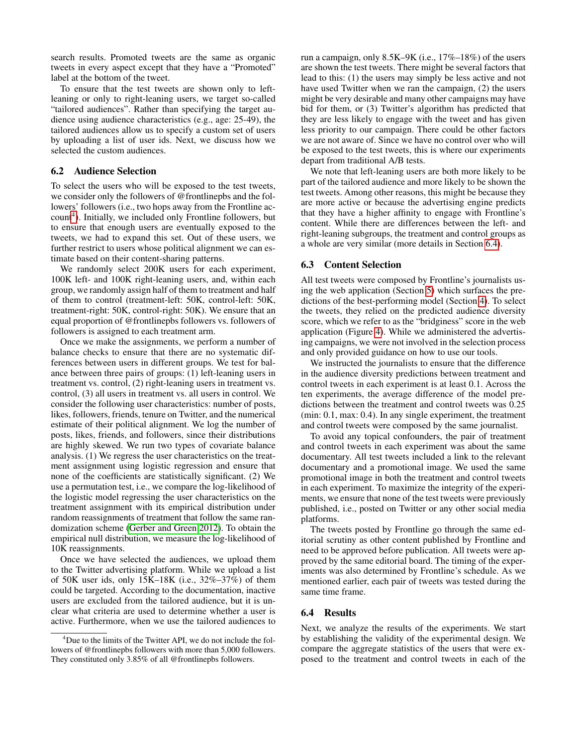search results. Promoted tweets are the same as organic tweets in every aspect except that they have a "Promoted" label at the bottom of the tweet.

To ensure that the test tweets are shown only to leftleaning or only to right-leaning users, we target so-called "tailored audiences". Rather than specifying the target audience using audience characteristics (e.g., age: 25-49), the tailored audiences allow us to specify a custom set of users by uploading a list of user ids. Next, we discuss how we selected the custom audiences.

### <span id="page-8-2"></span>6.2 Audience Selection

To select the users who will be exposed to the test tweets, we consider only the followers of @frontlinepbs and the followers' followers (i.e., two hops away from the Frontline ac-count<sup>[4](#page-8-0)</sup>). Initially, we included only Frontline followers, but to ensure that enough users are eventually exposed to the tweets, we had to expand this set. Out of these users, we further restrict to users whose political alignment we can estimate based on their content-sharing patterns.

We randomly select 200K users for each experiment, 100K left- and 100K right-leaning users, and, within each group, we randomly assign half of them to treatment and half of them to control (treatment-left: 50K, control-left: 50K, treatment-right: 50K, control-right: 50K). We ensure that an equal proportion of @frontlinepbs followers vs. followers of followers is assigned to each treatment arm.

Once we make the assignments, we perform a number of balance checks to ensure that there are no systematic differences between users in different groups. We test for balance between three pairs of groups: (1) left-leaning users in treatment vs. control, (2) right-leaning users in treatment vs. control, (3) all users in treatment vs. all users in control. We consider the following user characteristics: number of posts, likes, followers, friends, tenure on Twitter, and the numerical estimate of their political alignment. We log the number of posts, likes, friends, and followers, since their distributions are highly skewed. We run two types of covariate balance analysis. (1) We regress the user characteristics on the treatment assignment using logistic regression and ensure that none of the coefficients are statistically significant. (2) We use a permutation test, i.e., we compare the log-likelihood of the logistic model regressing the user characteristics on the treatment assignment with its empirical distribution under random reassignments of treatment that follow the same randomization scheme [\(Gerber and Green 2012\)](#page-11-31). To obtain the empirical null distribution, we measure the log-likelihood of 10K reassignments.

Once we have selected the audiences, we upload them to the Twitter advertising platform. While we upload a list of 50K user ids, only 15K–18K (i.e., 32%–37%) of them could be targeted. According to the documentation, inactive users are excluded from the tailored audience, but it is unclear what criteria are used to determine whether a user is active. Furthermore, when we use the tailored audiences to run a campaign, only 8.5K–9K (i.e., 17%–18%) of the users are shown the test tweets. There might be several factors that lead to this: (1) the users may simply be less active and not have used Twitter when we ran the campaign, (2) the users might be very desirable and many other campaigns may have bid for them, or (3) Twitter's algorithm has predicted that they are less likely to engage with the tweet and has given less priority to our campaign. There could be other factors we are not aware of. Since we have no control over who will be exposed to the test tweets, this is where our experiments depart from traditional A/B tests.

We note that left-leaning users are both more likely to be part of the tailored audience and more likely to be shown the test tweets. Among other reasons, this might be because they are more active or because the advertising engine predicts that they have a higher affinity to engage with Frontline's content. While there are differences between the left- and right-leaning subgroups, the treatment and control groups as a whole are very similar (more details in Section [6.4\)](#page-8-1).

#### 6.3 Content Selection

All test tweets were composed by Frontline's journalists using the web application (Section [5\)](#page-6-0) which surfaces the predictions of the best-performing model (Section [4\)](#page-2-0). To select the tweets, they relied on the predicted audience diversity score, which we refer to as the "bridginess" score in the web application (Figure [4\)](#page-6-1). While we administered the advertising campaigns, we were not involved in the selection process and only provided guidance on how to use our tools.

We instructed the journalists to ensure that the difference in the audience diversity predictions between treatment and control tweets in each experiment is at least 0.1. Across the ten experiments, the average difference of the model predictions between the treatment and control tweets was 0.25 (min: 0.1, max: 0.4). In any single experiment, the treatment and control tweets were composed by the same journalist.

To avoid any topical confounders, the pair of treatment and control tweets in each experiment was about the same documentary. All test tweets included a link to the relevant documentary and a promotional image. We used the same promotional image in both the treatment and control tweets in each experiment. To maximize the integrity of the experiments, we ensure that none of the test tweets were previously published, i.e., posted on Twitter or any other social media platforms.

The tweets posted by Frontline go through the same editorial scrutiny as other content published by Frontline and need to be approved before publication. All tweets were approved by the same editorial board. The timing of the experiments was also determined by Frontline's schedule. As we mentioned earlier, each pair of tweets was tested during the same time frame.

### <span id="page-8-1"></span>6.4 Results

Next, we analyze the results of the experiments. We start by establishing the validity of the experimental design. We compare the aggregate statistics of the users that were exposed to the treatment and control tweets in each of the

<span id="page-8-0"></span><sup>&</sup>lt;sup>4</sup>Due to the limits of the Twitter API, we do not include the followers of @frontlinepbs followers with more than 5,000 followers. They constituted only 3.85% of all @frontlinepbs followers.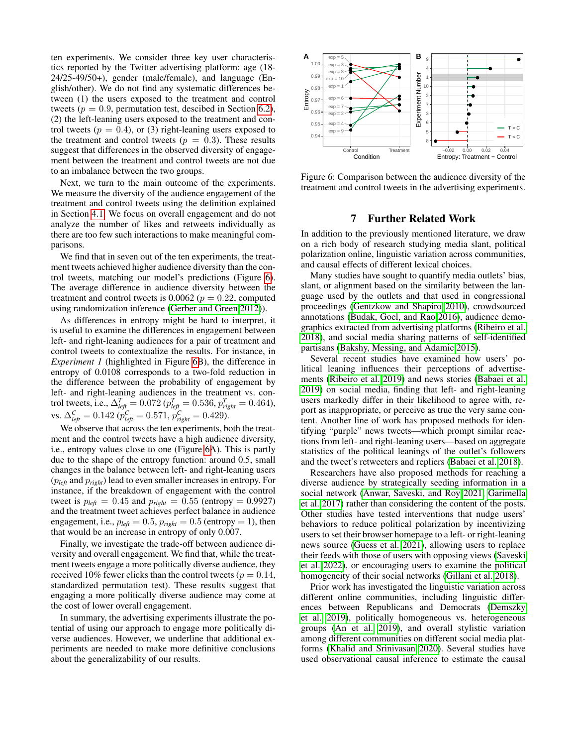ten experiments. We consider three key user characteristics reported by the Twitter advertising platform: age (18- 24/25-49/50+), gender (male/female), and language (English/other). We do not find any systematic differences between (1) the users exposed to the treatment and control tweets ( $p = 0.9$ , permutation test, descibed in Section [6.2\)](#page-8-2), (2) the left-leaning users exposed to the treatment and control tweets ( $p = 0.4$ ), or (3) right-leaning users exposed to the treatment and control tweets ( $p = 0.3$ ). These results suggest that differences in the observed diversity of engagement between the treatment and control tweets are not due to an imbalance between the two groups.

Next, we turn to the main outcome of the experiments. We measure the diversity of the audience engagement of the treatment and control tweets using the definition explained in Section [4.1.](#page-2-2) We focus on overall engagement and do not analyze the number of likes and retweets individually as there are too few such interactions to make meaningful comparisons.

We find that in seven out of the ten experiments, the treatment tweets achieved higher audience diversity than the control tweets, matching our model's predictions (Figure [6\)](#page-9-0). The average difference in audience diversity between the treatment and control tweets is 0.0062 ( $p = 0.22$ , computed using randomization inference [\(Gerber and Green 2012\)](#page-11-31)).

As differences in entropy might be hard to interpret, it is useful to examine the differences in engagement between left- and right-leaning audiences for a pair of treatment and control tweets to contextualize the results. For instance, in *Experiment 1* (highlighted in Figure [6B](#page-9-0)), the difference in entropy of 0.0108 corresponds to a two-fold reduction in the difference between the probability of engagement by left- and right-leaning audiences in the treatment vs. control tweets, i.e.,  $\Delta_{left}^{T} = 0.072 (p_{left}^{T} = 0.536, p_{right}^{T} = 0.464)$ , vs.  $\Delta_{left}^{C} = 0.142 \; (p_{left}^{C} = 0.571, p_{right}^{C} = 0.429)$ .

We observe that across the ten experiments, both the treatment and the control tweets have a high audience diversity, i.e., entropy values close to one (Figure [6A](#page-9-0)). This is partly due to the shape of the entropy function: around 0.5, small changes in the balance between left- and right-leaning users (p*left* and p*right*) lead to even smaller increases in entropy. For instance, if the breakdown of engagement with the control tweet is  $p_{\text{left}} = 0.45$  and  $p_{\text{right}} = 0.55$  (entropy = 0.9927) and the treatment tweet achieves perfect balance in audience engagement, i.e.,  $p_{\text{left}} = 0.5$ ,  $p_{\text{right}} = 0.5$  (entropy = 1), then that would be an increase in entropy of only 0.007.

Finally, we investigate the trade-off between audience diversity and overall engagement. We find that, while the treatment tweets engage a more politically diverse audience, they received 10% fewer clicks than the control tweets ( $p = 0.14$ , standardized permutation test). These results suggest that engaging a more politically diverse audience may come at the cost of lower overall engagement.

In summary, the advertising experiments illustrate the potential of using our approach to engage more politically diverse audiences. However, we underline that additional experiments are needed to make more definitive conclusions about the generalizability of our results.

<span id="page-9-0"></span>

Figure 6: Comparison between the audience diversity of the treatment and control tweets in the advertising experiments.

# 7 Further Related Work

In addition to the previously mentioned literature, we draw on a rich body of research studying media slant, political polarization online, linguistic variation across communities, and causal effects of different lexical choices.

Many studies have sought to quantify media outlets' bias, slant, or alignment based on the similarity between the language used by the outlets and that used in congressional proceedings [\(Gentzkow and Shapiro 2010\)](#page-11-32), crowdsourced annotations [\(Budak, Goel, and Rao 2016\)](#page-11-15), audience demographics extracted from advertising platforms [\(Ribeiro et al.](#page-11-33) [2018\)](#page-11-33), and social media sharing patterns of self-identified partisans [\(Bakshy, Messing, and Adamic 2015\)](#page-10-2).

Several recent studies have examined how users' political leaning influences their perceptions of advertisements [\(Ribeiro et al. 2019\)](#page-11-34) and news stories [\(Babaei et al.](#page-10-5) [2019\)](#page-10-5) on social media, finding that left- and right-leaning users markedly differ in their likelihood to agree with, report as inappropriate, or perceive as true the very same content. Another line of work has proposed methods for identifying "purple" news tweets—which prompt similar reactions from left- and right-leaning users—based on aggregate statistics of the political leanings of the outlet's followers and the tweet's retweeters and repliers [\(Babaei et al. 2018\)](#page-10-6).

Researchers have also proposed methods for reaching a diverse audience by strategically seeding information in a social network [\(Anwar, Saveski, and Roy 2021;](#page-10-7) [Garimella](#page-11-35) [et al. 2017\)](#page-11-35) rather than considering the content of the posts. Other studies have tested interventions that nudge users' behaviors to reduce political polarization by incentivizing users to set their browser homepage to a left- or right-leaning news source [\(Guess et al. 2021\)](#page-11-36), allowing users to replace their feeds with those of users with opposing views [\(Saveski](#page-11-37) [et al. 2022\)](#page-11-37), or encouraging users to examine the political homogeneity of their social networks [\(Gillani et al. 2018\)](#page-11-38).

Prior work has investigated the linguistic variation across different online communities, including linguistic differences between Republicans and Democrats [\(Demszky](#page-11-16) [et al. 2019\)](#page-11-16), politically homogeneous vs. heterogeneous groups [\(An et al. 2019\)](#page-10-8), and overall stylistic variation among different communities on different social media platforms [\(Khalid and Srinivasan 2020\)](#page-11-39). Several studies have used observational causal inference to estimate the causal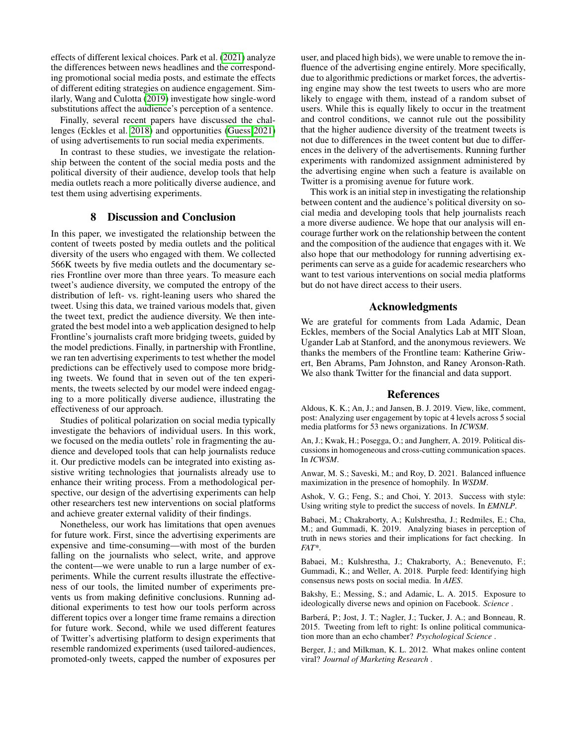effects of different lexical choices. Park et al. [\(2021\)](#page-11-40) analyze the differences between news headlines and the corresponding promotional social media posts, and estimate the effects of different editing strategies on audience engagement. Similarly, Wang and Culotta [\(2019\)](#page-11-41) investigate how single-word substitutions affect the audience's perception of a sentence.

Finally, several recent papers have discussed the challenges (Eckles et al. [2018\)](#page-11-42) and opportunities [\(Guess 2021\)](#page-11-43) of using advertisements to run social media experiments.

In contrast to these studies, we investigate the relationship between the content of the social media posts and the political diversity of their audience, develop tools that help media outlets reach a more politically diverse audience, and test them using advertising experiments.

# 8 Discussion and Conclusion

In this paper, we investigated the relationship between the content of tweets posted by media outlets and the political diversity of the users who engaged with them. We collected 566K tweets by five media outlets and the documentary series Frontline over more than three years. To measure each tweet's audience diversity, we computed the entropy of the distribution of left- vs. right-leaning users who shared the tweet. Using this data, we trained various models that, given the tweet text, predict the audience diversity. We then integrated the best model into a web application designed to help Frontline's journalists craft more bridging tweets, guided by the model predictions. Finally, in partnership with Frontline, we ran ten advertising experiments to test whether the model predictions can be effectively used to compose more bridging tweets. We found that in seven out of the ten experiments, the tweets selected by our model were indeed engaging to a more politically diverse audience, illustrating the effectiveness of our approach.

Studies of political polarization on social media typically investigate the behaviors of individual users. In this work, we focused on the media outlets' role in fragmenting the audience and developed tools that can help journalists reduce it. Our predictive models can be integrated into existing assistive writing technologies that journalists already use to enhance their writing process. From a methodological perspective, our design of the advertising experiments can help other researchers test new interventions on social platforms and achieve greater external validity of their findings.

Nonetheless, our work has limitations that open avenues for future work. First, since the advertising experiments are expensive and time-consuming—with most of the burden falling on the journalists who select, write, and approve the content—we were unable to run a large number of experiments. While the current results illustrate the effectiveness of our tools, the limited number of experiments prevents us from making definitive conclusions. Running additional experiments to test how our tools perform across different topics over a longer time frame remains a direction for future work. Second, while we used different features of Twitter's advertising platform to design experiments that resemble randomized experiments (used tailored-audiences, promoted-only tweets, capped the number of exposures per

user, and placed high bids), we were unable to remove the influence of the advertising engine entirely. More specifically, due to algorithmic predictions or market forces, the advertising engine may show the test tweets to users who are more likely to engage with them, instead of a random subset of users. While this is equally likely to occur in the treatment and control conditions, we cannot rule out the possibility that the higher audience diversity of the treatment tweets is not due to differences in the tweet content but due to differences in the delivery of the advertisements. Running further experiments with randomized assignment administered by the advertising engine when such a feature is available on Twitter is a promising avenue for future work.

This work is an initial step in investigating the relationship between content and the audience's political diversity on social media and developing tools that help journalists reach a more diverse audience. We hope that our analysis will encourage further work on the relationship between the content and the composition of the audience that engages with it. We also hope that our methodology for running advertising experiments can serve as a guide for academic researchers who want to test various interventions on social media platforms but do not have direct access to their users.

## Acknowledgments

We are grateful for comments from Lada Adamic, Dean Eckles, members of the Social Analytics Lab at MIT Sloan, Ugander Lab at Stanford, and the anonymous reviewers. We thanks the members of the Frontline team: Katherine Griwert, Ben Abrams, Pam Johnston, and Raney Aronson-Rath. We also thank Twitter for the financial and data support.

#### References

<span id="page-10-1"></span>Aldous, K. K.; An, J.; and Jansen, B. J. 2019. View, like, comment, post: Analyzing user engagement by topic at 4 levels across 5 social media platforms for 53 news organizations. In *ICWSM*.

<span id="page-10-8"></span>An, J.; Kwak, H.; Posegga, O.; and Jungherr, A. 2019. Political discussions in homogeneous and cross-cutting communication spaces. In *ICWSM*.

<span id="page-10-7"></span>Anwar, M. S.; Saveski, M.; and Roy, D. 2021. Balanced influence maximization in the presence of homophily. In *WSDM*.

<span id="page-10-4"></span>Ashok, V. G.; Feng, S.; and Choi, Y. 2013. Success with style: Using writing style to predict the success of novels. In *EMNLP*.

<span id="page-10-5"></span>Babaei, M.; Chakraborty, A.; Kulshrestha, J.; Redmiles, E.; Cha, M.; and Gummadi, K. 2019. Analyzing biases in perception of truth in news stories and their implications for fact checking. In *FAT\**.

<span id="page-10-6"></span>Babaei, M.; Kulshrestha, J.; Chakraborty, A.; Benevenuto, F.; Gummadi, K.; and Weller, A. 2018. Purple feed: Identifying high consensus news posts on social media. In *AIES*.

<span id="page-10-2"></span>Bakshy, E.; Messing, S.; and Adamic, L. A. 2015. Exposure to ideologically diverse news and opinion on Facebook. *Science* .

<span id="page-10-3"></span>Barberá, P.; Jost, J. T.; Nagler, J.; Tucker, J. A.; and Bonneau, R. 2015. Tweeting from left to right: Is online political communication more than an echo chamber? *Psychological Science* .

<span id="page-10-0"></span>Berger, J.; and Milkman, K. L. 2012. What makes online content viral? *Journal of Marketing Research* .